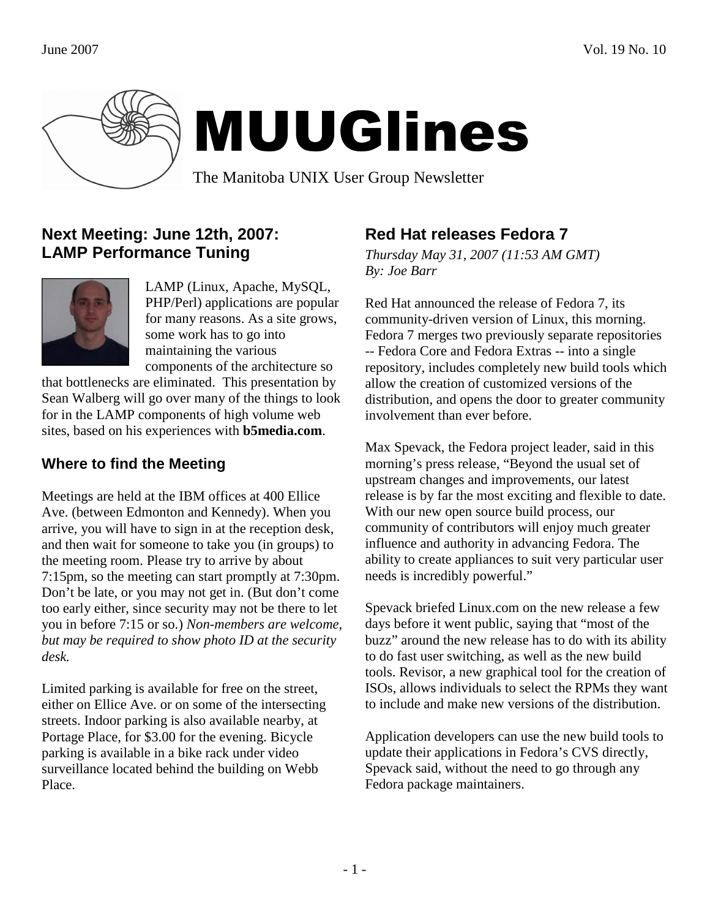

# MUUGlines

The Manitoba UNIX User Group Newsletter

## **Next Meeting: June 12th, 2007: LAMP Performance Tuning**



LAMP (Linux, Apache, MySQL, PHP/Perl) applications are popular for many reasons. As a site grows, some work has to go into maintaining the various components of the architecture so

that bottlenecks are eliminated. This presentation by Sean Walberg will go over many of the things to look for in the LAMP components of high volume web sites, based on his experiences with **b5media.com**.

## **Where to find the Meeting**

Meetings are held at the IBM offices at 400 Ellice Ave. (between Edmonton and Kennedy). When you arrive, you will have to sign in at the reception desk, and then wait for someone to take you (in groups) to the meeting room. Please try to arrive by about 7:15pm, so the meeting can start promptly at 7:30pm. Don't be late, or you may not get in. (But don't come too early either, since security may not be there to let you in before 7:15 or so.) *Non-members are welcome, but may be required to show photo ID at the security desk.*

Limited parking is available for free on the street, either on Ellice Ave. or on some of the intersecting streets. Indoor parking is also available nearby, at Portage Place, for \$3.00 for the evening. Bicycle parking is available in a bike rack under video surveillance located behind the building on Webb Place.

## **Red Hat releases Fedora 7**

*Thursday May 31, 2007 (11:53 AM GMT) By: Joe Barr* 

Red Hat announced the release of Fedora 7, its community-driven version of Linux, this morning. Fedora 7 merges two previously separate repositories -- Fedora Core and Fedora Extras -- into a single repository, includes completely new build tools which allow the creation of customized versions of the distribution, and opens the door to greater community involvement than ever before.

Max Spevack, the Fedora project leader, said in this morning's press release, "Beyond the usual set of upstream changes and improvements, our latest release is by far the most exciting and flexible to date. With our new open source build process, our community of contributors will enjoy much greater influence and authority in advancing Fedora. The ability to create appliances to suit very particular user needs is incredibly powerful."

Spevack briefed Linux.com on the new release a few days before it went public, saying that "most of the buzz" around the new release has to do with its ability to do fast user switching, as well as the new build tools. Revisor, a new graphical tool for the creation of ISOs, allows individuals to select the RPMs they want to include and make new versions of the distribution.

Application developers can use the new build tools to update their applications in Fedora's CVS directly, Spevack said, without the need to go through any Fedora package maintainers.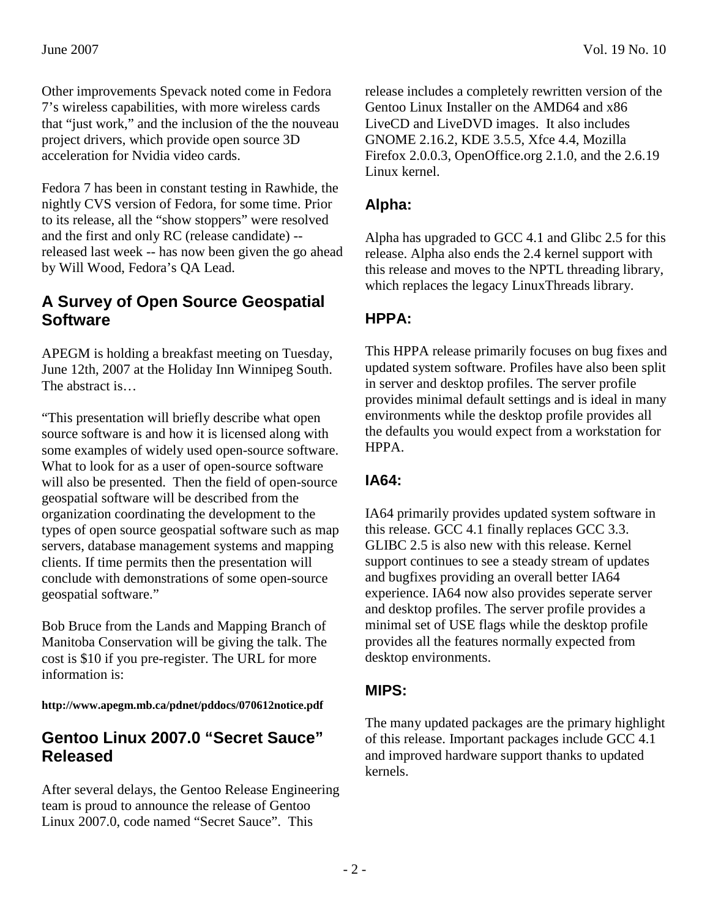Other improvements Spevack noted come in Fedora 7's wireless capabilities, with more wireless cards that "just work," and the inclusion of the the nouveau project drivers, which provide open source 3D acceleration for Nvidia video cards.

Fedora 7 has been in constant testing in Rawhide, the nightly CVS version of Fedora, for some time. Prior to its release, all the "show stoppers" were resolved and the first and only RC (release candidate) - released last week -- has now been given the go ahead by Will Wood, Fedora's QA Lead.

#### **A Survey of Open Source Geospatial Software**

APEGM is holding a breakfast meeting on Tuesday, June 12th, 2007 at the Holiday Inn Winnipeg South. The abstract is…

"This presentation will briefly describe what open source software is and how it is licensed along with some examples of widely used open-source software. What to look for as a user of open-source software will also be presented. Then the field of open-source geospatial software will be described from the organization coordinating the development to the types of open source geospatial software such as map servers, database management systems and mapping clients. If time permits then the presentation will conclude with demonstrations of some open-source geospatial software."

Bob Bruce from the Lands and Mapping Branch of Manitoba Conservation will be giving the talk. The cost is \$10 if you pre-register. The URL for more information is:

**http://www.apegm.mb.ca/pdnet/pddocs/070612notice.pdf** 

## **Gentoo Linux 2007.0 "Secret Sauce" Released**

After several delays, the Gentoo Release Engineering team is proud to announce the release of Gentoo Linux 2007.0, code named "Secret Sauce". This

release includes a completely rewritten version of the Gentoo Linux Installer on the AMD64 and x86 LiveCD and LiveDVD images. It also includes GNOME 2.16.2, KDE 3.5.5, Xfce 4.4, Mozilla Firefox 2.0.0.3, OpenOffice.org 2.1.0, and the 2.6.19 Linux kernel.

#### **Alpha:**

Alpha has upgraded to GCC 4.1 and Glibc 2.5 for this release. Alpha also ends the 2.4 kernel support with this release and moves to the NPTL threading library, which replaces the legacy LinuxThreads library.

## **HPPA:**

This HPPA release primarily focuses on bug fixes and updated system software. Profiles have also been split in server and desktop profiles. The server profile provides minimal default settings and is ideal in many environments while the desktop profile provides all the defaults you would expect from a workstation for HPPA.

#### **IA64:**

IA64 primarily provides updated system software in this release. GCC 4.1 finally replaces GCC 3.3. GLIBC 2.5 is also new with this release. Kernel support continues to see a steady stream of updates and bugfixes providing an overall better IA64 experience. IA64 now also provides seperate server and desktop profiles. The server profile provides a minimal set of USE flags while the desktop profile provides all the features normally expected from desktop environments.

#### **MIPS:**

The many updated packages are the primary highlight of this release. Important packages include GCC 4.1 and improved hardware support thanks to updated kernels.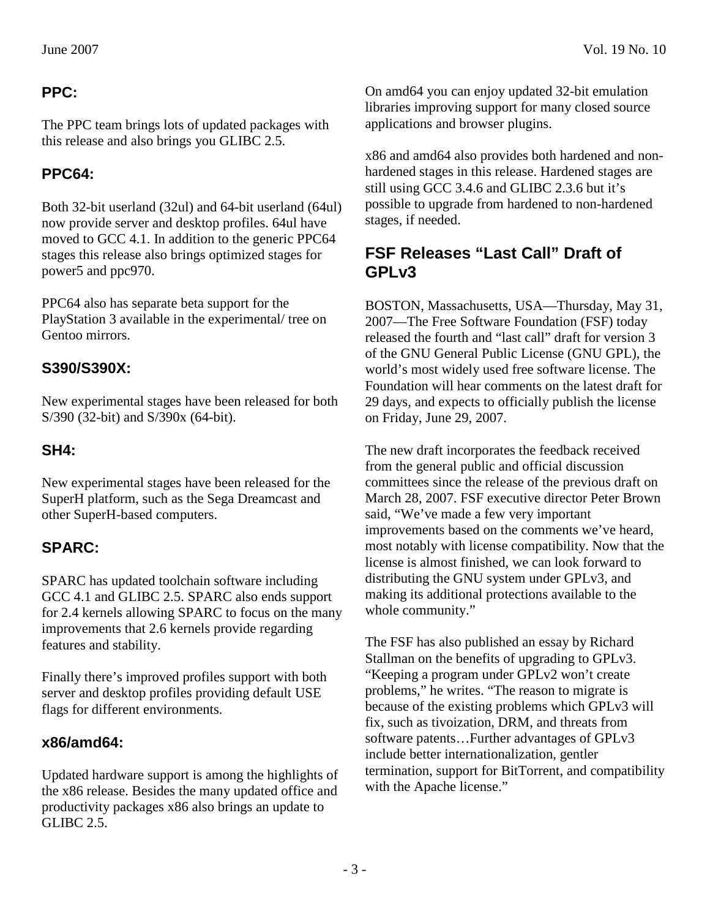The PPC team brings lots of updated packages with this release and also brings you GLIBC 2.5.

# **PPC64:**

Both 32-bit userland (32ul) and 64-bit userland (64ul) now provide server and desktop profiles. 64ul have moved to GCC 4.1. In addition to the generic PPC64 stages this release also brings optimized stages for power5 and ppc970.

PPC64 also has separate beta support for the PlayStation 3 available in the experimental/ tree on Gentoo mirrors.

## **S390/S390X:**

New experimental stages have been released for both S/390 (32-bit) and S/390x (64-bit).

## **SH4:**

New experimental stages have been released for the SuperH platform, such as the Sega Dreamcast and other SuperH-based computers.

# **SPARC:**

SPARC has updated toolchain software including GCC 4.1 and GLIBC 2.5. SPARC also ends support for 2.4 kernels allowing SPARC to focus on the many improvements that 2.6 kernels provide regarding features and stability.

Finally there's improved profiles support with both server and desktop profiles providing default USE flags for different environments.

## **x86/amd64:**

Updated hardware support is among the highlights of the x86 release. Besides the many updated office and productivity packages x86 also brings an update to GLIBC 2.5.

On amd64 you can enjoy updated 32-bit emulation libraries improving support for many closed source applications and browser plugins.

x86 and amd64 also provides both hardened and nonhardened stages in this release. Hardened stages are still using GCC 3.4.6 and GLIBC 2.3.6 but it's possible to upgrade from hardened to non-hardened stages, if needed.

## **FSF Releases "Last Call" Draft of GPLv3**

BOSTON, Massachusetts, USA—Thursday, May 31, 2007—The Free Software Foundation (FSF) today released the fourth and "last call" draft for version 3 of the GNU General Public License (GNU GPL), the world's most widely used free software license. The Foundation will hear comments on the latest draft for 29 days, and expects to officially publish the license on Friday, June 29, 2007.

The new draft incorporates the feedback received from the general public and official discussion committees since the release of the previous draft on March 28, 2007. FSF executive director Peter Brown said, "We've made a few very important improvements based on the comments we've heard, most notably with license compatibility. Now that the license is almost finished, we can look forward to distributing the GNU system under GPLv3, and making its additional protections available to the whole community."

The FSF has also published an essay by Richard Stallman on the benefits of upgrading to GPLv3. "Keeping a program under GPLv2 won't create problems," he writes. "The reason to migrate is because of the existing problems which GPLv3 will fix, such as tivoization, DRM, and threats from software patents…Further advantages of GPLv3 include better internationalization, gentler termination, support for BitTorrent, and compatibility with the Apache license."